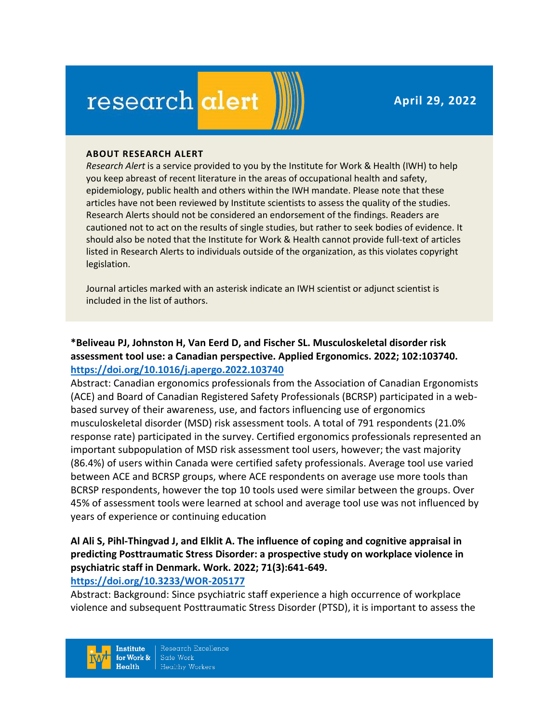**April 29, 2022**

# research alert

#### **ABOUT RESEARCH ALERT**

*Research Alert* is a service provided to you by the Institute for Work & Health (IWH) to help you keep abreast of recent literature in the areas of occupational health and safety, epidemiology, public health and others within the IWH mandate. Please note that these articles have not been reviewed by Institute scientists to assess the quality of the studies. Research Alerts should not be considered an endorsement of the findings. Readers are cautioned not to act on the results of single studies, but rather to seek bodies of evidence. It should also be noted that the Institute for Work & Health cannot provide full-text of articles listed in Research Alerts to individuals outside of the organization, as this violates copyright legislation.

Journal articles marked with an asterisk indicate an IWH scientist or adjunct scientist is included in the list of authors.

# **\*Beliveau PJ, Johnston H, Van Eerd D, and Fischer SL. Musculoskeletal disorder risk assessment tool use: a Canadian perspective. Applied Ergonomics. 2022; 102:103740. <https://doi.org/10.1016/j.apergo.2022.103740>**

Abstract: Canadian ergonomics professionals from the Association of Canadian Ergonomists (ACE) and Board of Canadian Registered Safety Professionals (BCRSP) participated in a webbased survey of their awareness, use, and factors influencing use of ergonomics musculoskeletal disorder (MSD) risk assessment tools. A total of 791 respondents (21.0% response rate) participated in the survey. Certified ergonomics professionals represented an important subpopulation of MSD risk assessment tool users, however; the vast majority (86.4%) of users within Canada were certified safety professionals. Average tool use varied between ACE and BCRSP groups, where ACE respondents on average use more tools than BCRSP respondents, however the top 10 tools used were similar between the groups. Over 45% of assessment tools were learned at school and average tool use was not influenced by years of experience or continuing education

# **Al Ali S, Pihl-Thingvad J, and Elklit A. The influence of coping and cognitive appraisal in predicting Posttraumatic Stress Disorder: a prospective study on workplace violence in psychiatric staff in Denmark. Work. 2022; 71(3):641-649.**

# **<https://doi.org/10.3233/WOR-205177>**

Abstract: Background: Since psychiatric staff experience a high occurrence of workplace violence and subsequent Posttraumatic Stress Disorder (PTSD), it is important to assess the

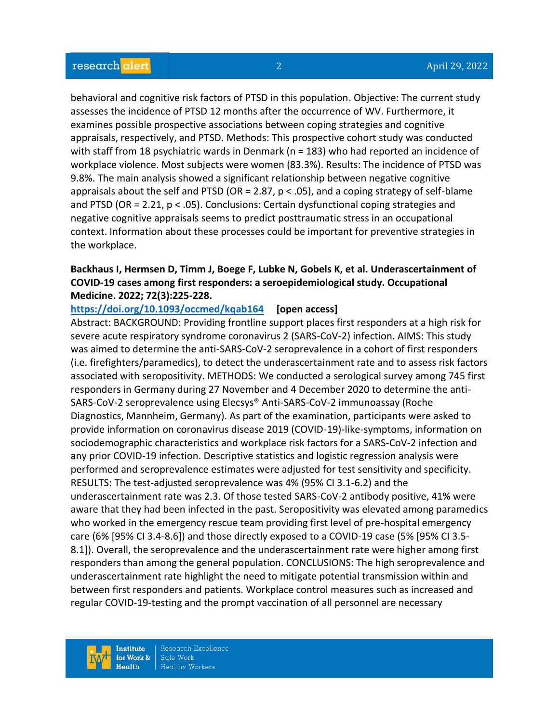behavioral and cognitive risk factors of PTSD in this population. Objective: The current study assesses the incidence of PTSD 12 months after the occurrence of WV. Furthermore, it examines possible prospective associations between coping strategies and cognitive appraisals, respectively, and PTSD. Methods: This prospective cohort study was conducted with staff from 18 psychiatric wards in Denmark (n = 183) who had reported an incidence of workplace violence. Most subjects were women (83.3%). Results: The incidence of PTSD was 9.8%. The main analysis showed a significant relationship between negative cognitive appraisals about the self and PTSD (OR = 2.87,  $p < .05$ ), and a coping strategy of self-blame and PTSD (OR = 2.21, p < .05). Conclusions: Certain dysfunctional coping strategies and negative cognitive appraisals seems to predict posttraumatic stress in an occupational context. Information about these processes could be important for preventive strategies in the workplace.

# **Backhaus I, Hermsen D, Timm J, Boege F, Lubke N, Gobels K, et al. Underascertainment of COVID-19 cases among first responders: a seroepidemiological study. Occupational Medicine. 2022; 72(3):225-228.**

**<https://doi.org/10.1093/occmed/kqab164> [open access]**

Abstract: BACKGROUND: Providing frontline support places first responders at a high risk for severe acute respiratory syndrome coronavirus 2 (SARS-CoV-2) infection. AIMS: This study was aimed to determine the anti-SARS-CoV-2 seroprevalence in a cohort of first responders (i.e. firefighters/paramedics), to detect the underascertainment rate and to assess risk factors associated with seropositivity. METHODS: We conducted a serological survey among 745 first responders in Germany during 27 November and 4 December 2020 to determine the anti-SARS-CoV-2 seroprevalence using Elecsys® Anti-SARS-CoV-2 immunoassay (Roche Diagnostics, Mannheim, Germany). As part of the examination, participants were asked to provide information on coronavirus disease 2019 (COVID-19)-like-symptoms, information on sociodemographic characteristics and workplace risk factors for a SARS-CoV-2 infection and any prior COVID-19 infection. Descriptive statistics and logistic regression analysis were performed and seroprevalence estimates were adjusted for test sensitivity and specificity. RESULTS: The test-adjusted seroprevalence was 4% (95% CI 3.1-6.2) and the underascertainment rate was 2.3. Of those tested SARS-CoV-2 antibody positive, 41% were aware that they had been infected in the past. Seropositivity was elevated among paramedics who worked in the emergency rescue team providing first level of pre-hospital emergency care (6% [95% CI 3.4-8.6]) and those directly exposed to a COVID-19 case (5% [95% CI 3.5- 8.1]). Overall, the seroprevalence and the underascertainment rate were higher among first responders than among the general population. CONCLUSIONS: The high seroprevalence and underascertainment rate highlight the need to mitigate potential transmission within and between first responders and patients. Workplace control measures such as increased and regular COVID-19-testing and the prompt vaccination of all personnel are necessary

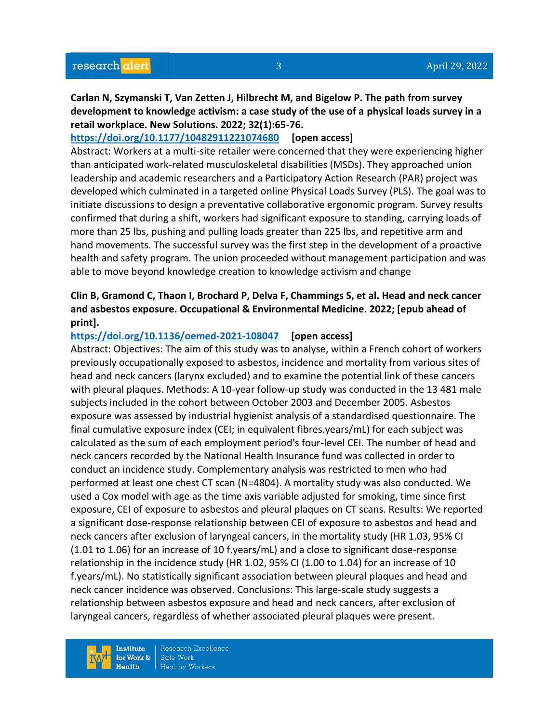**Carlan N, Szymanski T, Van Zetten J, Hilbrecht M, and Bigelow P. The path from survey development to knowledge activism: a case study of the use of a physical loads survey in a retail workplace. New Solutions. 2022; 32(1):65-76.** 

# **<https://doi.org/10.1177/10482911221074680> [open access]**

Abstract: Workers at a multi-site retailer were concerned that they were experiencing higher than anticipated work-related musculoskeletal disabilities (MSDs). They approached union leadership and academic researchers and a Participatory Action Research (PAR) project was developed which culminated in a targeted online Physical Loads Survey (PLS). The goal was to initiate discussions to design a preventative collaborative ergonomic program. Survey results confirmed that during a shift, workers had significant exposure to standing, carrying loads of more than 25 lbs, pushing and pulling loads greater than 225 lbs, and repetitive arm and hand movements. The successful survey was the first step in the development of a proactive health and safety program. The union proceeded without management participation and was able to move beyond knowledge creation to knowledge activism and change

# **Clin B, Gramond C, Thaon I, Brochard P, Delva F, Chammings S, et al. Head and neck cancer and asbestos exposure. Occupational & Environmental Medicine. 2022; [epub ahead of print].**

# **<https://doi.org/10.1136/oemed-2021-108047> [open access]**

Abstract: Objectives: The aim of this study was to analyse, within a French cohort of workers previously occupationally exposed to asbestos, incidence and mortality from various sites of head and neck cancers (larynx excluded) and to examine the potential link of these cancers with pleural plaques. Methods: A 10-year follow-up study was conducted in the 13 481 male subjects included in the cohort between October 2003 and December 2005. Asbestos exposure was assessed by industrial hygienist analysis of a standardised questionnaire. The final cumulative exposure index (CEI; in equivalent fibres.years/mL) for each subject was calculated as the sum of each employment period's four-level CEI. The number of head and neck cancers recorded by the National Health Insurance fund was collected in order to conduct an incidence study. Complementary analysis was restricted to men who had performed at least one chest CT scan (N=4804). A mortality study was also conducted. We used a Cox model with age as the time axis variable adjusted for smoking, time since first exposure, CEI of exposure to asbestos and pleural plaques on CT scans. Results: We reported a significant dose-response relationship between CEI of exposure to asbestos and head and neck cancers after exclusion of laryngeal cancers, in the mortality study (HR 1.03, 95% CI (1.01 to 1.06) for an increase of 10 f.years/mL) and a close to significant dose-response relationship in the incidence study (HR 1.02, 95% CI (1.00 to 1.04) for an increase of 10 f.years/mL). No statistically significant association between pleural plaques and head and neck cancer incidence was observed. Conclusions: This large-scale study suggests a relationship between asbestos exposure and head and neck cancers, after exclusion of laryngeal cancers, regardless of whether associated pleural plaques were present.

**Institute** for Work &  $Heath$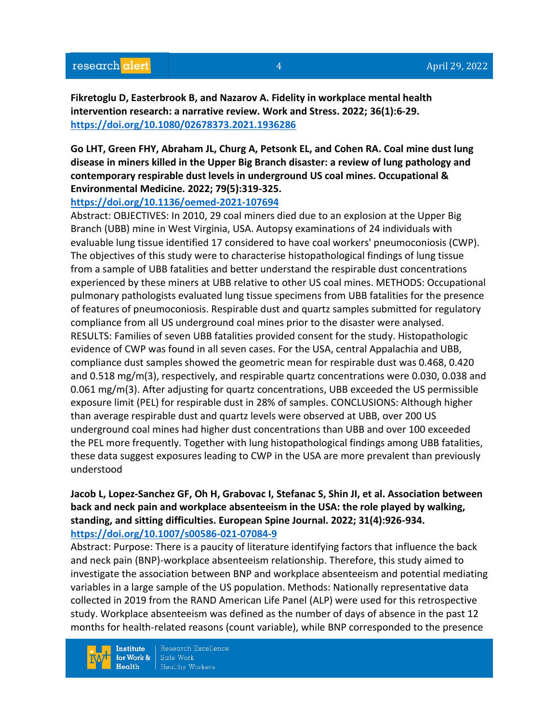**Fikretoglu D, Easterbrook B, and Nazarov A. Fidelity in workplace mental health intervention research: a narrative review. Work and Stress. 2022; 36(1):6-29. <https://doi.org/10.1080/02678373.2021.1936286>** 

**Go LHT, Green FHY, Abraham JL, Churg A, Petsonk EL, and Cohen RA. Coal mine dust lung disease in miners killed in the Upper Big Branch disaster: a review of lung pathology and contemporary respirable dust levels in underground US coal mines. Occupational & Environmental Medicine. 2022; 79(5):319-325.** 

#### **<https://doi.org/10.1136/oemed-2021-107694>**

Abstract: OBJECTIVES: In 2010, 29 coal miners died due to an explosion at the Upper Big Branch (UBB) mine in West Virginia, USA. Autopsy examinations of 24 individuals with evaluable lung tissue identified 17 considered to have coal workers' pneumoconiosis (CWP). The objectives of this study were to characterise histopathological findings of lung tissue from a sample of UBB fatalities and better understand the respirable dust concentrations experienced by these miners at UBB relative to other US coal mines. METHODS: Occupational pulmonary pathologists evaluated lung tissue specimens from UBB fatalities for the presence of features of pneumoconiosis. Respirable dust and quartz samples submitted for regulatory compliance from all US underground coal mines prior to the disaster were analysed. RESULTS: Families of seven UBB fatalities provided consent for the study. Histopathologic evidence of CWP was found in all seven cases. For the USA, central Appalachia and UBB, compliance dust samples showed the geometric mean for respirable dust was 0.468, 0.420 and 0.518 mg/m(3), respectively, and respirable quartz concentrations were 0.030, 0.038 and 0.061 mg/m(3). After adjusting for quartz concentrations, UBB exceeded the US permissible exposure limit (PEL) for respirable dust in 28% of samples. CONCLUSIONS: Although higher than average respirable dust and quartz levels were observed at UBB, over 200 US underground coal mines had higher dust concentrations than UBB and over 100 exceeded the PEL more frequently. Together with lung histopathological findings among UBB fatalities, these data suggest exposures leading to CWP in the USA are more prevalent than previously understood

# **Jacob L, Lopez-Sanchez GF, Oh H, Grabovac I, Stefanac S, Shin JI, et al. Association between back and neck pain and workplace absenteeism in the USA: the role played by walking, standing, and sitting difficulties. European Spine Journal. 2022; 31(4):926-934. <https://doi.org/10.1007/s00586-021-07084-9>**

Abstract: Purpose: There is a paucity of literature identifying factors that influence the back and neck pain (BNP)-workplace absenteeism relationship. Therefore, this study aimed to investigate the association between BNP and workplace absenteeism and potential mediating variables in a large sample of the US population. Methods: Nationally representative data collected in 2019 from the RAND American Life Panel (ALP) were used for this retrospective study. Workplace absenteeism was defined as the number of days of absence in the past 12 months for health-related reasons (count variable), while BNP corresponded to the presence

**Institute** for Work &  $Health$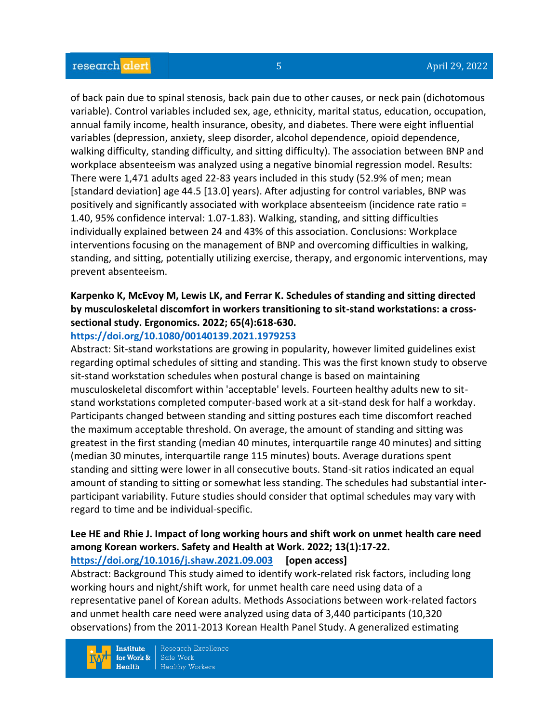of back pain due to spinal stenosis, back pain due to other causes, or neck pain (dichotomous variable). Control variables included sex, age, ethnicity, marital status, education, occupation, annual family income, health insurance, obesity, and diabetes. There were eight influential variables (depression, anxiety, sleep disorder, alcohol dependence, opioid dependence, walking difficulty, standing difficulty, and sitting difficulty). The association between BNP and workplace absenteeism was analyzed using a negative binomial regression model. Results: There were 1,471 adults aged 22-83 years included in this study (52.9% of men; mean [standard deviation] age 44.5 [13.0] years). After adjusting for control variables, BNP was positively and significantly associated with workplace absenteeism (incidence rate ratio = 1.40, 95% confidence interval: 1.07-1.83). Walking, standing, and sitting difficulties individually explained between 24 and 43% of this association. Conclusions: Workplace interventions focusing on the management of BNP and overcoming difficulties in walking, standing, and sitting, potentially utilizing exercise, therapy, and ergonomic interventions, may prevent absenteeism.

# **Karpenko K, McEvoy M, Lewis LK, and Ferrar K. Schedules of standing and sitting directed by musculoskeletal discomfort in workers transitioning to sit-stand workstations: a crosssectional study. Ergonomics. 2022; 65(4):618-630.**

#### **<https://doi.org/10.1080/00140139.2021.1979253>**

Abstract: Sit-stand workstations are growing in popularity, however limited guidelines exist regarding optimal schedules of sitting and standing. This was the first known study to observe sit-stand workstation schedules when postural change is based on maintaining musculoskeletal discomfort within 'acceptable' levels. Fourteen healthy adults new to sitstand workstations completed computer-based work at a sit-stand desk for half a workday. Participants changed between standing and sitting postures each time discomfort reached the maximum acceptable threshold. On average, the amount of standing and sitting was greatest in the first standing (median 40 minutes, interquartile range 40 minutes) and sitting (median 30 minutes, interquartile range 115 minutes) bouts. Average durations spent standing and sitting were lower in all consecutive bouts. Stand-sit ratios indicated an equal amount of standing to sitting or somewhat less standing. The schedules had substantial interparticipant variability. Future studies should consider that optimal schedules may vary with regard to time and be individual-specific.

# **Lee HE and Rhie J. Impact of long working hours and shift work on unmet health care need among Korean workers. Safety and Health at Work. 2022; 13(1):17-22.**

#### **<https://doi.org/10.1016/j.shaw.2021.09.003> [open access]**

Abstract: Background This study aimed to identify work-related risk factors, including long working hours and night/shift work, for unmet health care need using data of a representative panel of Korean adults. Methods Associations between work-related factors and unmet health care need were analyzed using data of 3,440 participants (10,320 observations) from the 2011-2013 Korean Health Panel Study. A generalized estimating

**Institute** for Work &  $Heath$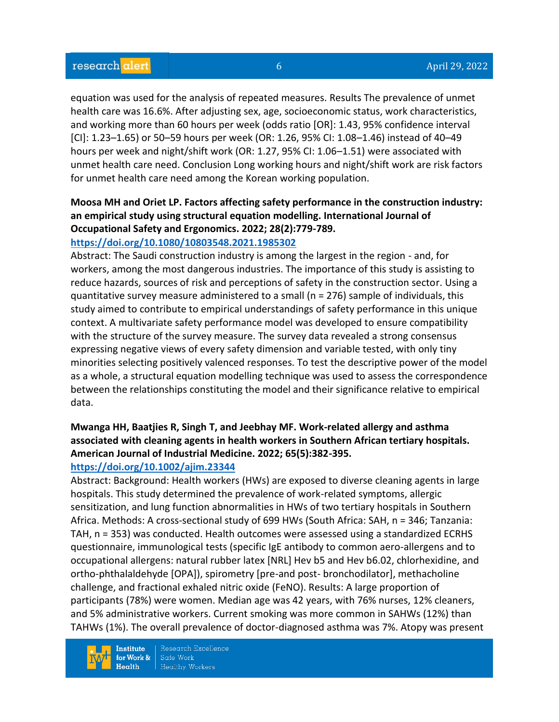equation was used for the analysis of repeated measures. Results The prevalence of unmet health care was 16.6%. After adjusting sex, age, socioeconomic status, work characteristics, and working more than 60 hours per week (odds ratio [OR]: 1.43, 95% confidence interval [CI]: 1.23–1.65) or 50–59 hours per week (OR: 1.26, 95% CI: 1.08–1.46) instead of 40–49 hours per week and night/shift work (OR: 1.27, 95% CI: 1.06–1.51) were associated with unmet health care need. Conclusion Long working hours and night/shift work are risk factors for unmet health care need among the Korean working population.

# **Moosa MH and Oriet LP. Factors affecting safety performance in the construction industry: an empirical study using structural equation modelling. International Journal of Occupational Safety and Ergonomics. 2022; 28(2):779-789.**

# **<https://doi.org/10.1080/10803548.2021.1985302>**

Abstract: The Saudi construction industry is among the largest in the region - and, for workers, among the most dangerous industries. The importance of this study is assisting to reduce hazards, sources of risk and perceptions of safety in the construction sector. Using a quantitative survey measure administered to a small (n = 276) sample of individuals, this study aimed to contribute to empirical understandings of safety performance in this unique context. A multivariate safety performance model was developed to ensure compatibility with the structure of the survey measure. The survey data revealed a strong consensus expressing negative views of every safety dimension and variable tested, with only tiny minorities selecting positively valenced responses. To test the descriptive power of the model as a whole, a structural equation modelling technique was used to assess the correspondence between the relationships constituting the model and their significance relative to empirical data.

# **Mwanga HH, Baatjies R, Singh T, and Jeebhay MF. Work-related allergy and asthma associated with cleaning agents in health workers in Southern African tertiary hospitals. American Journal of Industrial Medicine. 2022; 65(5):382-395.**

# **<https://doi.org/10.1002/ajim.23344>**

Abstract: Background: Health workers (HWs) are exposed to diverse cleaning agents in large hospitals. This study determined the prevalence of work-related symptoms, allergic sensitization, and lung function abnormalities in HWs of two tertiary hospitals in Southern Africa. Methods: A cross-sectional study of 699 HWs (South Africa: SAH, n = 346; Tanzania: TAH, n = 353) was conducted. Health outcomes were assessed using a standardized ECRHS questionnaire, immunological tests (specific IgE antibody to common aero-allergens and to occupational allergens: natural rubber latex [NRL] Hev b5 and Hev b6.02, chlorhexidine, and ortho-phthalaldehyde [OPA]), spirometry [pre-and post- bronchodilator], methacholine challenge, and fractional exhaled nitric oxide (FeNO). Results: A large proportion of participants (78%) were women. Median age was 42 years, with 76% nurses, 12% cleaners, and 5% administrative workers. Current smoking was more common in SAHWs (12%) than TAHWs (1%). The overall prevalence of doctor-diagnosed asthma was 7%. Atopy was present

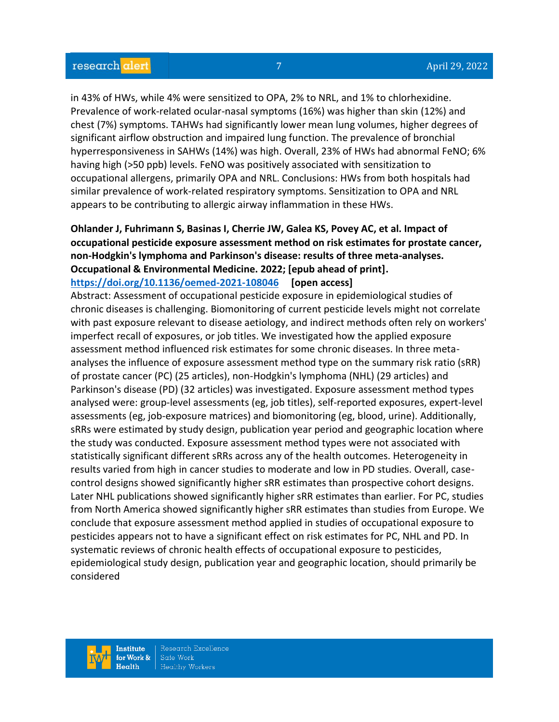in 43% of HWs, while 4% were sensitized to OPA, 2% to NRL, and 1% to chlorhexidine. Prevalence of work-related ocular-nasal symptoms (16%) was higher than skin (12%) and chest (7%) symptoms. TAHWs had significantly lower mean lung volumes, higher degrees of significant airflow obstruction and impaired lung function. The prevalence of bronchial hyperresponsiveness in SAHWs (14%) was high. Overall, 23% of HWs had abnormal FeNO; 6% having high (>50 ppb) levels. FeNO was positively associated with sensitization to occupational allergens, primarily OPA and NRL. Conclusions: HWs from both hospitals had similar prevalence of work-related respiratory symptoms. Sensitization to OPA and NRL appears to be contributing to allergic airway inflammation in these HWs.

# **Ohlander J, Fuhrimann S, Basinas I, Cherrie JW, Galea KS, Povey AC, et al. Impact of occupational pesticide exposure assessment method on risk estimates for prostate cancer, non-Hodgkin's lymphoma and Parkinson's disease: results of three meta-analyses. Occupational & Environmental Medicine. 2022; [epub ahead of print]. <https://doi.org/10.1136/oemed-2021-108046> [open access]**

Abstract: Assessment of occupational pesticide exposure in epidemiological studies of chronic diseases is challenging. Biomonitoring of current pesticide levels might not correlate with past exposure relevant to disease aetiology, and indirect methods often rely on workers' imperfect recall of exposures, or job titles. We investigated how the applied exposure assessment method influenced risk estimates for some chronic diseases. In three metaanalyses the influence of exposure assessment method type on the summary risk ratio (sRR) of prostate cancer (PC) (25 articles), non-Hodgkin's lymphoma (NHL) (29 articles) and Parkinson's disease (PD) (32 articles) was investigated. Exposure assessment method types analysed were: group-level assessments (eg, job titles), self-reported exposures, expert-level assessments (eg, job-exposure matrices) and biomonitoring (eg, blood, urine). Additionally, sRRs were estimated by study design, publication year period and geographic location where the study was conducted. Exposure assessment method types were not associated with statistically significant different sRRs across any of the health outcomes. Heterogeneity in results varied from high in cancer studies to moderate and low in PD studies. Overall, casecontrol designs showed significantly higher sRR estimates than prospective cohort designs. Later NHL publications showed significantly higher sRR estimates than earlier. For PC, studies from North America showed significantly higher sRR estimates than studies from Europe. We conclude that exposure assessment method applied in studies of occupational exposure to pesticides appears not to have a significant effect on risk estimates for PC, NHL and PD. In systematic reviews of chronic health effects of occupational exposure to pesticides, epidemiological study design, publication year and geographic location, should primarily be considered

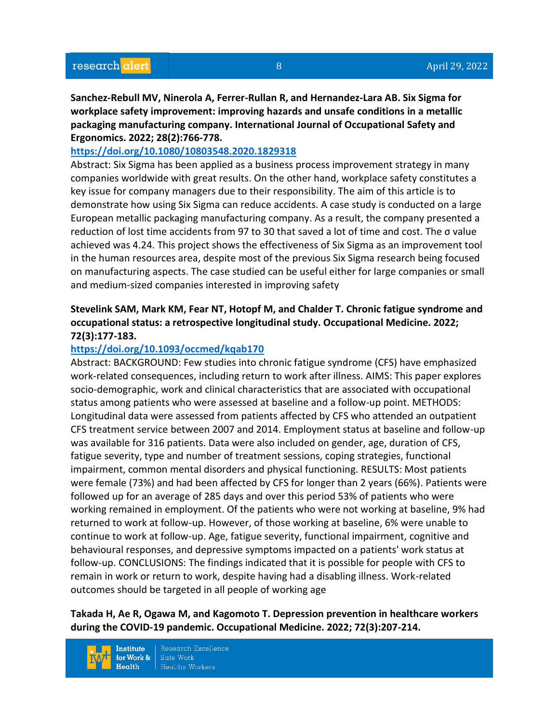**Sanchez-Rebull MV, Ninerola A, Ferrer-Rullan R, and Hernandez-Lara AB. Six Sigma for workplace safety improvement: improving hazards and unsafe conditions in a metallic packaging manufacturing company. International Journal of Occupational Safety and Ergonomics. 2022; 28(2):766-778.** 

# **<https://doi.org/10.1080/10803548.2020.1829318>**

Abstract: Six Sigma has been applied as a business process improvement strategy in many companies worldwide with great results. On the other hand, workplace safety constitutes a key issue for company managers due to their responsibility. The aim of this article is to demonstrate how using Six Sigma can reduce accidents. A case study is conducted on a large European metallic packaging manufacturing company. As a result, the company presented a reduction of lost time accidents from 97 to 30 that saved a lot of time and cost. The σ value achieved was 4.24. This project shows the effectiveness of Six Sigma as an improvement tool in the human resources area, despite most of the previous Six Sigma research being focused on manufacturing aspects. The case studied can be useful either for large companies or small and medium-sized companies interested in improving safety

# **Stevelink SAM, Mark KM, Fear NT, Hotopf M, and Chalder T. Chronic fatigue syndrome and occupational status: a retrospective longitudinal study. Occupational Medicine. 2022; 72(3):177-183.**

# **<https://doi.org/10.1093/occmed/kqab170>**

Abstract: BACKGROUND: Few studies into chronic fatigue syndrome (CFS) have emphasized work-related consequences, including return to work after illness. AIMS: This paper explores socio-demographic, work and clinical characteristics that are associated with occupational status among patients who were assessed at baseline and a follow-up point. METHODS: Longitudinal data were assessed from patients affected by CFS who attended an outpatient CFS treatment service between 2007 and 2014. Employment status at baseline and follow-up was available for 316 patients. Data were also included on gender, age, duration of CFS, fatigue severity, type and number of treatment sessions, coping strategies, functional impairment, common mental disorders and physical functioning. RESULTS: Most patients were female (73%) and had been affected by CFS for longer than 2 years (66%). Patients were followed up for an average of 285 days and over this period 53% of patients who were working remained in employment. Of the patients who were not working at baseline, 9% had returned to work at follow-up. However, of those working at baseline, 6% were unable to continue to work at follow-up. Age, fatigue severity, functional impairment, cognitive and behavioural responses, and depressive symptoms impacted on a patients' work status at follow-up. CONCLUSIONS: The findings indicated that it is possible for people with CFS to remain in work or return to work, despite having had a disabling illness. Work-related outcomes should be targeted in all people of working age

**Takada H, Ae R, Ogawa M, and Kagomoto T. Depression prevention in healthcare workers during the COVID-19 pandemic. Occupational Medicine. 2022; 72(3):207-214.**